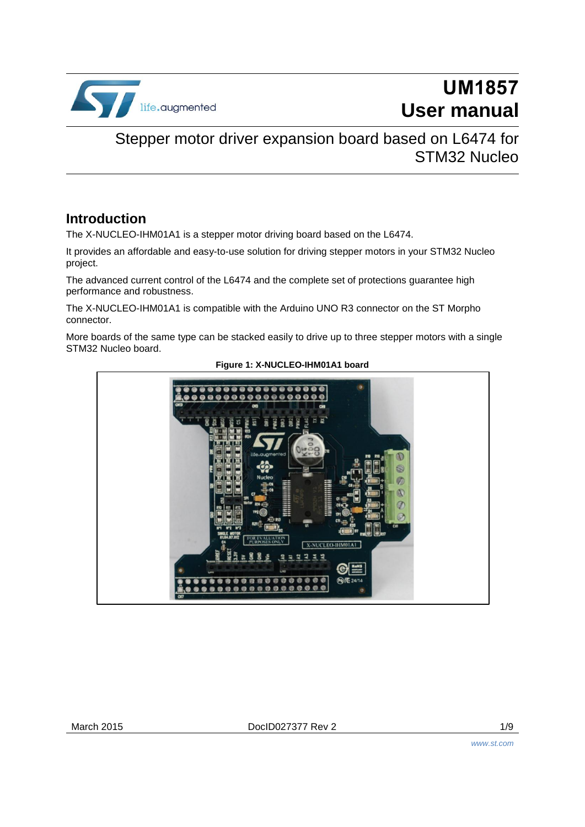

# **UM1857 User manual**

## Stepper motor driver expansion board based on L6474 for STM32 Nucleo

## **Introduction**

The X-NUCLEO-IHM01A1 is a stepper motor driving board based on the L6474.

It provides an affordable and easy-to-use solution for driving stepper motors in your STM32 Nucleo project.

The advanced current control of the L6474 and the complete set of protections guarantee high performance and robustness.

The X-NUCLEO-IHM01A1 is compatible with the Arduino UNO R3 connector on the ST Morpho connector.

More boards of the same type can be stacked easily to drive up to three stepper motors with a single STM32 Nucleo board.



#### **Figure 1: X-NUCLEO-IHM01A1 board**

March 2015 **DociD027377 Rev 2** 2 1/9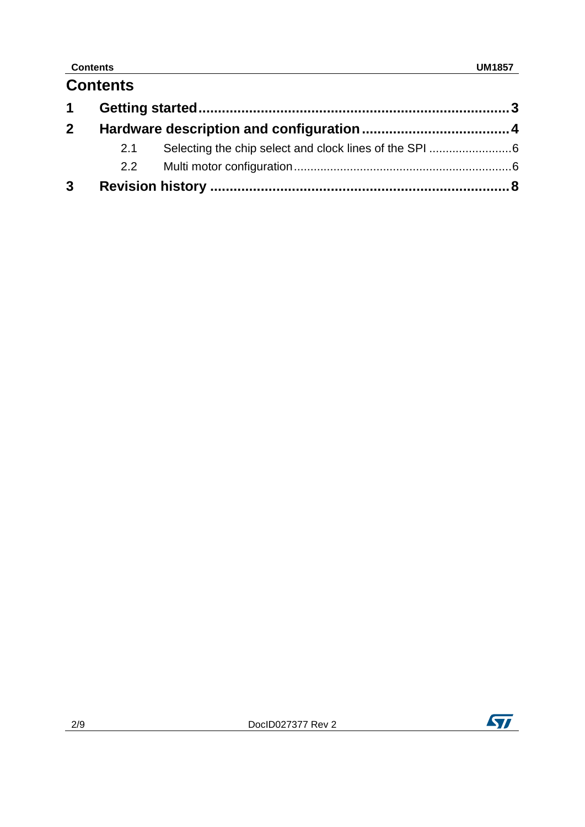## **Contents UM1857**

|                | <b>Contents</b> |  |  |
|----------------|-----------------|--|--|
|                |                 |  |  |
| 2 <sup>1</sup> |                 |  |  |
|                | 2.1             |  |  |
|                | 2.2             |  |  |
| $\mathbf{3}$   |                 |  |  |

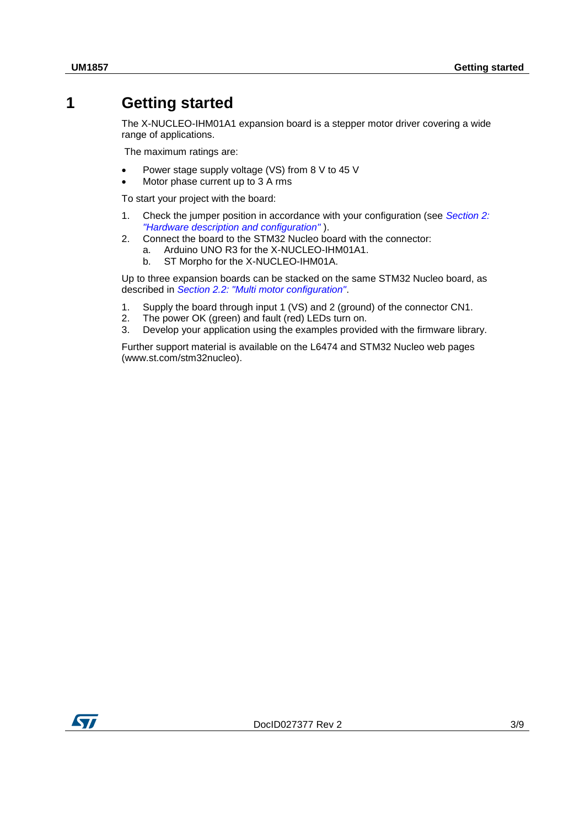## **1 Getting started**

<span id="page-2-0"></span>The X-NUCLEO-IHM01A1 expansion board is a stepper motor driver covering a wide range of applications.

The maximum ratings are:

- Power stage supply voltage (VS) from 8 V to 45 V
- Motor phase current up to 3 A rms

To start your project with the board:

- 1. Check the jumper position in accordance with your configuration (see *[Section 2:](#page-3-0)  ["Hardware description and configuration"](#page-3-0)* ).
- 2. Connect the board to the STM32 Nucleo board with the connector:
	- a. Arduino UNO R3 for the X-NUCLEO-IHM01A1.
		- b. ST Morpho for the X-NUCLEO-IHM01A.

Up to three expansion boards can be stacked on the same STM32 Nucleo board, as described in *[Section 2.2: "Multi motor configuration"](#page-5-1)*.

- 1. Supply the board through input 1 (VS) and 2 (ground) of the connector CN1.
- 2. The power OK (green) and fault (red) LEDs turn on.
- 3. Develop your application using the examples provided with the firmware library.

Further support material is available on the L6474 and STM32 Nucleo web pages (www.st.com/stm32nucleo).

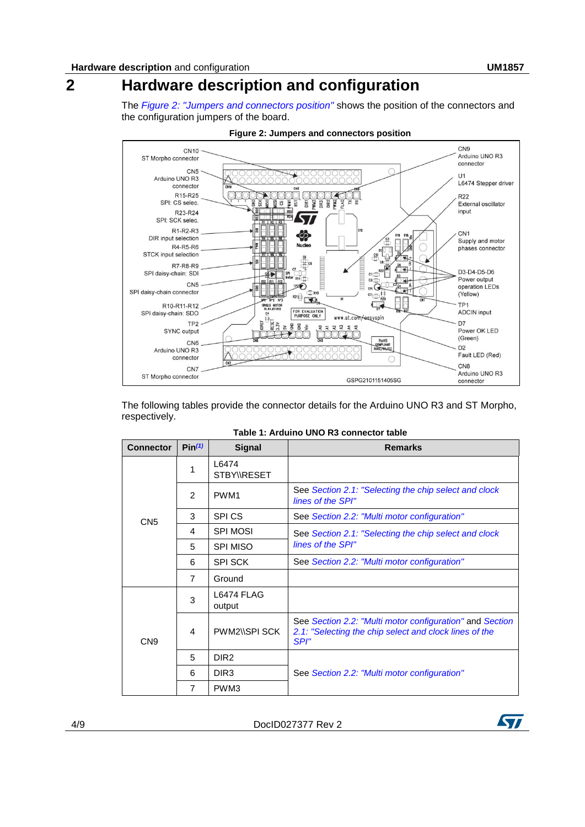# **2 Hardware description and configuration**

<span id="page-3-0"></span>The *[Figure 2: "Jumpers and connectors position"](#page-3-1)* shows the position of the connectors and the configuration jumpers of the board.

<span id="page-3-1"></span>

**Figure 2: Jumpers and connectors position**

The following tables provide the connector details for the Arduino UNO R3 and ST Morpho, respectively.

| <b>Connector</b> | Pin <sup>(1)</sup> | <b>Signal</b>              | <b>Remarks</b>                                                                                                             |
|------------------|--------------------|----------------------------|----------------------------------------------------------------------------------------------------------------------------|
|                  | 1                  | 16474<br><b>STBYWRESET</b> |                                                                                                                            |
|                  | $\mathcal{P}$      | PWM <sub>1</sub>           | See Section 2.1: "Selecting the chip select and clock<br>lines of the SPI"                                                 |
| CN <sub>5</sub>  | 3                  | <b>SPICS</b>               | See Section 2.2: "Multi motor configuration"                                                                               |
|                  | 4                  | <b>SPI MOSI</b>            | See Section 2.1: "Selecting the chip select and clock                                                                      |
|                  | 5                  | <b>SPI MISO</b>            | lines of the SPI"                                                                                                          |
|                  | 6                  | <b>SPI SCK</b>             | See Section 2.2: "Multi motor configuration"                                                                               |
|                  | $\overline{7}$     | Ground                     |                                                                                                                            |
|                  | 3                  | L6474 FLAG<br>output       |                                                                                                                            |
| CN <sub>9</sub>  | 4                  | PWM2\\SPI SCK              | See Section 2.2: "Multi motor configuration" and Section<br>2.1: "Selecting the chip select and clock lines of the<br>SPI" |
|                  | 5                  | DIR <sub>2</sub>           |                                                                                                                            |
|                  | 6                  | DIR <sub>3</sub>           | See Section 2.2: "Multi motor configuration"                                                                               |
|                  | 7                  | PWM3                       |                                                                                                                            |

**Table 1: Arduino UNO R3 connector table**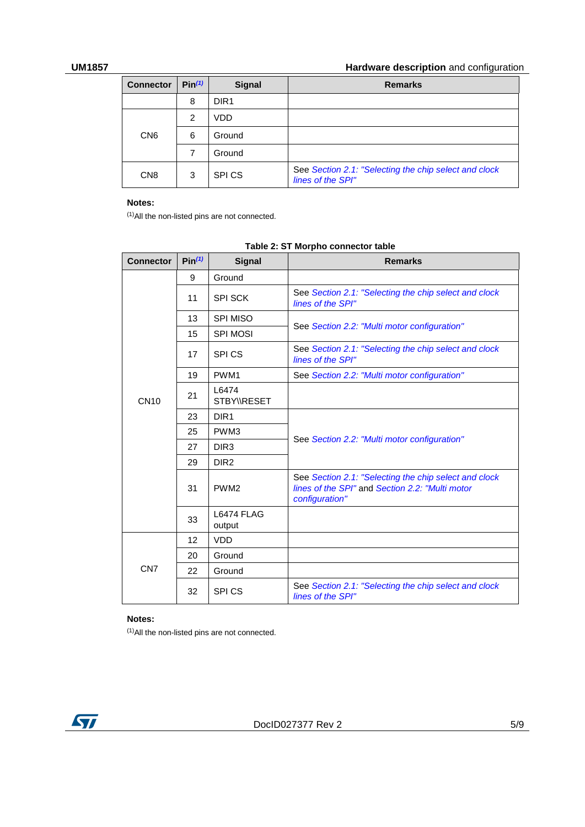### **UM1857 Hardware description** and configuration

| <b>Connector</b> | $Pin^{(1)}$ | <b>Signal</b>     | <b>Remarks</b>                                                             |
|------------------|-------------|-------------------|----------------------------------------------------------------------------|
|                  | 8           | DIR <sub>1</sub>  |                                                                            |
|                  | 2           | VDD               |                                                                            |
| CN <sub>6</sub>  | 6           | Ground            |                                                                            |
|                  |             | Ground            |                                                                            |
| CN <sub>8</sub>  | 3           | SPI <sub>CS</sub> | See Section 2.1: "Selecting the chip select and clock<br>lines of the SPI" |

#### **Notes:**

<span id="page-4-0"></span> $(1)$ All the non-listed pins are not connected.

| <b>Connector</b> | Pin <sup>(1)</sup> | <b>Signal</b>        | <b>Remarks</b>                                                                                                             |
|------------------|--------------------|----------------------|----------------------------------------------------------------------------------------------------------------------------|
|                  | 9                  | Ground               |                                                                                                                            |
|                  | 11                 | <b>SPI SCK</b>       | See Section 2.1: "Selecting the chip select and clock<br>lines of the SPI"                                                 |
|                  | 13                 | <b>SPI MISO</b>      |                                                                                                                            |
|                  | 15                 | SPI MOSI             | See Section 2.2: "Multi motor configuration"                                                                               |
|                  | 17                 | <b>SPICS</b>         | See Section 2.1: "Selecting the chip select and clock<br>lines of the SPI"                                                 |
|                  | 19                 | PWM1                 | See Section 2.2: "Multi motor configuration"                                                                               |
| <b>CN10</b>      | 21                 | L6474<br>STBY\\RESET |                                                                                                                            |
|                  | 23                 | DIR <sub>1</sub>     |                                                                                                                            |
|                  | 25                 | PWM3                 |                                                                                                                            |
|                  | 27                 | DIR <sub>3</sub>     | See Section 2.2: "Multi motor configuration"                                                                               |
|                  | 29                 | DIR <sub>2</sub>     |                                                                                                                            |
|                  | 31                 | PWM <sub>2</sub>     | See Section 2.1: "Selecting the chip select and clock<br>lines of the SPI" and Section 2.2: "Multi motor<br>configuration" |
|                  | 33                 | L6474 FLAG<br>output |                                                                                                                            |
|                  | 12                 | <b>VDD</b>           |                                                                                                                            |
|                  | 20                 | Ground               |                                                                                                                            |
| CN <sub>7</sub>  | 22                 | Ground               |                                                                                                                            |
|                  | 32                 | <b>SPICS</b>         | See Section 2.1: "Selecting the chip select and clock<br>lines of the SPI"                                                 |

#### **Table 2: ST Morpho connector table**

#### **Notes:**

<span id="page-4-1"></span>(1)All the non-listed pins are not connected.

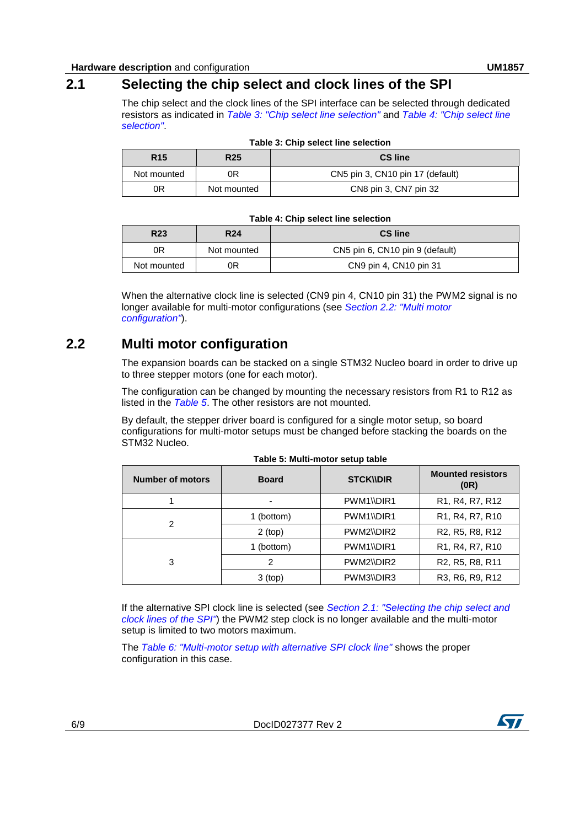<span id="page-5-0"></span>The chip select and the clock lines of the SPI interface can be selected through dedicated resistors as indicated in *[Table 3: "Chip select line](#page-5-2) selection"* and *[Table 4: "Chip select line](#page-5-3)  [selection"](#page-5-3)*.

<span id="page-5-2"></span>

| <b>R15</b>  | <b>R25</b>  | <b>CS line</b>                   |
|-------------|-------------|----------------------------------|
| Not mounted | ЭR          | CN5 pin 3, CN10 pin 17 (default) |
| 0R          | Not mounted | CN8 pin 3, CN7 pin 32            |

|  |  | Table 3: Chip select line selection |
|--|--|-------------------------------------|
|  |  |                                     |

#### **Table 4: Chip select line selection**

<span id="page-5-3"></span>

| R <sub>23</sub><br><b>R24</b> |             | <b>CS line</b>                  |  |
|-------------------------------|-------------|---------------------------------|--|
| 0R                            | Not mounted | CN5 pin 6, CN10 pin 9 (default) |  |
| Not mounted                   | ЭR          | CN9 pin 4, CN10 pin 31          |  |

When the alternative clock line is selected (CN9 pin 4, CN10 pin 31) the PWM2 signal is no longer available for multi-motor configurations (see *[Section 2.2: "Multi motor](#page-5-1)  [configuration"](#page-5-1)*).

## **2.2 Multi motor configuration**

<span id="page-5-1"></span>The expansion boards can be stacked on a single STM32 Nucleo board in order to drive up to three stepper motors (one for each motor).

The configuration can be changed by mounting the necessary resistors from R1 to R12 as listed in the *[Table 5](#page-5-4)*. The other resistors are not mounted.

By default, the stepper driver board is configured for a single motor setup, so board configurations for multi-motor setups must be changed before stacking the boards on the STM32 Nucleo.

<span id="page-5-4"></span>

| <b>Number of motors</b> | <b>Board</b>             | <b>STCKWDIR</b> | <b>Mounted resistors</b><br>(0R)                                   |
|-------------------------|--------------------------|-----------------|--------------------------------------------------------------------|
|                         | $\overline{\phantom{0}}$ | PWM1\\DIR1      | R <sub>1</sub> , R <sub>4</sub> , R <sub>7</sub> , R <sub>12</sub> |
| 2                       | 1 (bottom)               | PWM1\\DIR1      | R <sub>1</sub> , R <sub>4</sub> , R <sub>7</sub> , R <sub>10</sub> |
|                         | $2$ (top)                | PWM2\\DIR2      | R <sub>2</sub> , R <sub>5</sub> , R <sub>8</sub> , R <sub>12</sub> |
|                         | 1 (bottom)               | PWM1\\DIR1      | R1, R4, R7, R10                                                    |
| 3                       | 2                        | PWM2\\DIR2      | R <sub>2</sub> , R <sub>5</sub> , R <sub>8</sub> , R <sub>11</sub> |
|                         | $3$ (top)                | PWM3\\DIR3      | R3, R6, R9, R12                                                    |

If the alternative SPI clock line is selected (see *[Section 2.1: "Selecting the chip select and](#page-5-0)  [clock lines of the SPI"](#page-5-0)*) the PWM2 step clock is no longer available and the multi-motor setup is limited to two motors maximum.

The *[Table 6: "Multi-motor setup with alternative SPI clock line"](#page-6-0)* shows the proper configuration in this case.

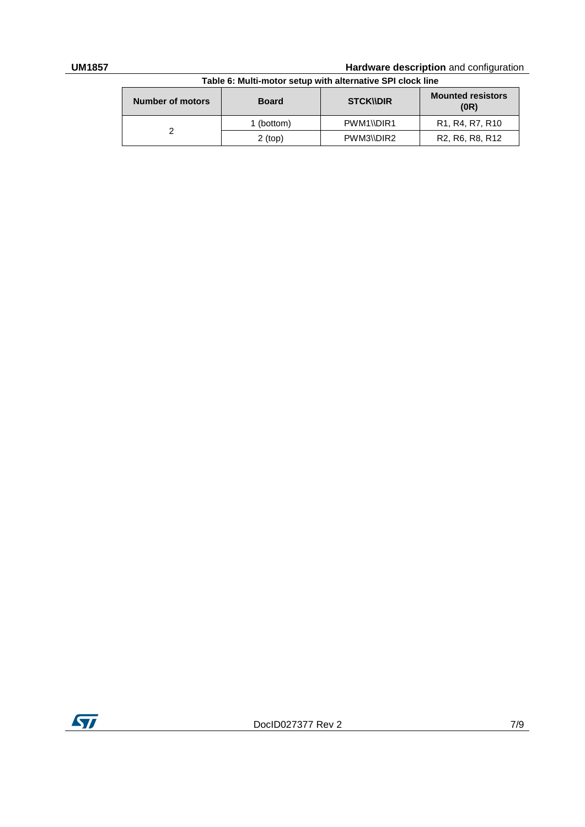#### **UM1857 Hardware description** and configuration

<span id="page-6-0"></span>

| Table 6: Multi-motor setup with alternative SPI clock line |              |                  |                                                                    |  |  |
|------------------------------------------------------------|--------------|------------------|--------------------------------------------------------------------|--|--|
| <b>Number of motors</b>                                    | <b>Board</b> | <b>STCK NDIR</b> | <b>Mounted resistors</b><br>(0R)                                   |  |  |
|                                                            | 1 (bottom)   | PWM1\\DIR1       | R <sub>1</sub> , R <sub>4</sub> , R <sub>7</sub> , R <sub>10</sub> |  |  |
|                                                            | $2$ (top)    | PWM3\\DIR2       | R <sub>2</sub> , R <sub>6</sub> , R <sub>8</sub> , R <sub>12</sub> |  |  |

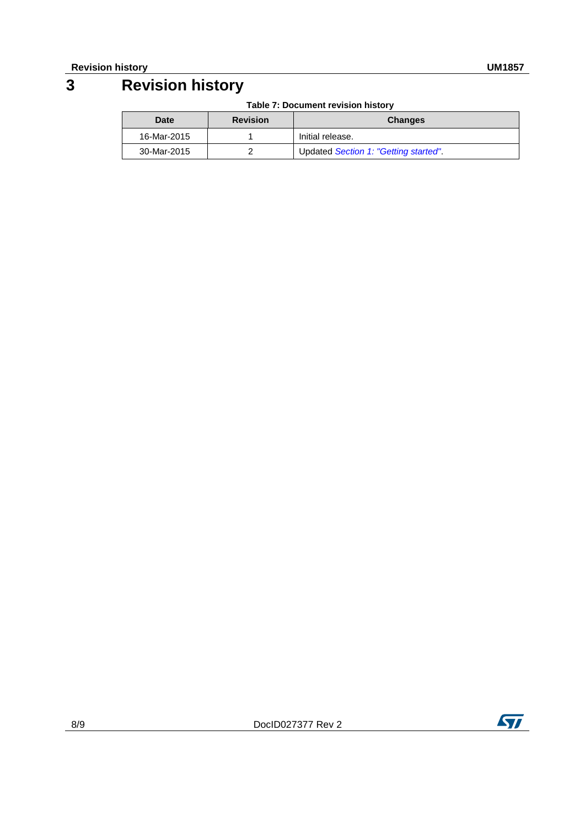# **3 Revision history**

<span id="page-7-0"></span>

| <b>Date</b> | <b>Revision</b>  | <b>Changes</b>                       |
|-------------|------------------|--------------------------------------|
| 16-Mar-2015 | Initial release. |                                      |
| 30-Mar-2015 |                  | Updated Section 1: "Getting started" |